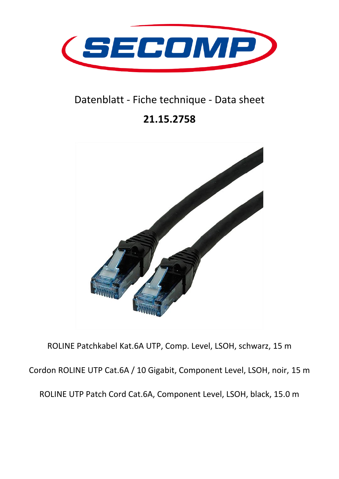

## Datenblatt - Fiche technique - Data sheet

## **21.15.2758**



ROLINE Patchkabel Kat.6A UTP, Comp. Level, LSOH, schwarz, 15 m Cordon ROLINE UTP Cat.6A / 10 Gigabit, Component Level, LSOH, noir, 15 m ROLINE UTP Patch Cord Cat.6A, Component Level, LSOH, black, 15.0 m